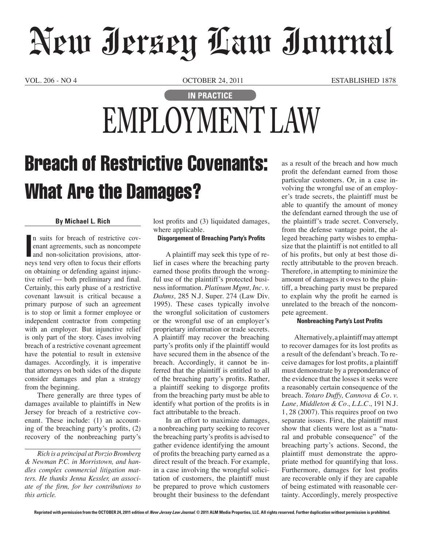# New Jersey Law Journal

VOL. 206 - NO 4 OCTOBER 24, 2011 ESTABLISHED 1878

### **IN PRACTICE EMPLOYMENT LAW**

## Breach of Restrictive Covenants: What Are the Damages?

### **By Michael L. Rich**

In suits for breach of restrictive covenant agreements, such as noncompete and non-solicitation provisions, attorneys tend very often to focus their efforts n suits for breach of restrictive covenant agreements, such as noncompete and non-solicitation provisions, attoron obtaining or defending against injunctive relief — both preliminary and final. Certainly, this early phase of a restrictive covenant lawsuit is critical because a primary purpose of such an agreement is to stop or limit a former employee or independent contractor from competing with an employer. But injunctive relief is only part of the story. Cases involving breach of a restrictive covenant agreement have the potential to result in extensive damages. Accordingly, it is imperative that attorneys on both sides of the dispute consider damages and plan a strategy from the beginning.

There generally are three types of damages available to plaintiffs in New Jersey for breach of a restrictive covenant. These include: (1) an accounting of the breaching party's profits, (2) recovery of the nonbreaching party's

*Rich is a principal at Porzio Bromberg & Newman P.C. in Morristown, and handles complex commercial litigation matters. He thanks Jenna Kessler, an associate of the firm, for her contributions to this article.*

lost profits and (3) liquidated damages, where applicable.

#### **Disgorgement of Breaching Party's Profits**

A plaintiff may seek this type of relief in cases where the breaching party earned those profits through the wrongful use of the plaintiff's protected business information. *Platinum Mgmt, Inc. v. Dahms,* 285 N.J. Super. 274 (Law Div. 1995). These cases typically involve the wrongful solicitation of customers or the wrongful use of an employer's proprietary information or trade secrets. A plaintiff may recover the breaching party's profits only if the plaintiff would have secured them in the absence of the breach. Accordingly, it cannot be inferred that the plaintiff is entitled to all of the breaching party's profits. Rather, a plaintiff seeking to disgorge profits from the breaching party must be able to identify what portion of the profits is in fact attributable to the breach.

In an effort to maximize damages, a nonbreaching party seeking to recover the breaching party's profits is advised to gather evidence identifying the amount of profits the breaching party earned as a direct result of the breach. For example, in a case involving the wrongful solicitation of customers, the plaintiff must be prepared to prove which customers brought their business to the defendant as a result of the breach and how much profit the defendant earned from those particular customers. Or, in a case involving the wrongful use of an employer's trade secrets, the plaintiff must be able to quantify the amount of money the defendant earned through the use of the plaintiff's trade secret. Conversely, from the defense vantage point, the alleged breaching party wishes to emphasize that the plaintiff is not entitled to all of his profits, but only at best those directly attributable to the proven breach. Therefore, in attempting to minimize the amount of damages it owes to the plaintiff, a breaching party must be prepared to explain why the profit he earned is unrelated to the breach of the noncompete agreement.

#### **Nonbreaching Party's Lost Profits**

Alternatively, a plaintiff may attempt to recover damages for its lost profits as a result of the defendant's breach. To receive damages for lost profits, a plaintiff must demonstrate by a preponderance of the evidence that the losses it seeks were a reasonably certain consequence of the breach. *Totaro Duffy, Cannova & Co. v. Lane, Middleton & Co., L.L.C.,* 191 N.J. 1, 28 (2007). This requires proof on two separate issues. First, the plaintiff must show that clients were lost as a "natural and probable consequence" of the breaching party's actions. Second, the plaintiff must demonstrate the appropriate method for quantifying that loss. Furthermore, damages for lost profits are recoverable only if they are capable of being estimated with reasonable certainty. Accordingly, merely prospective